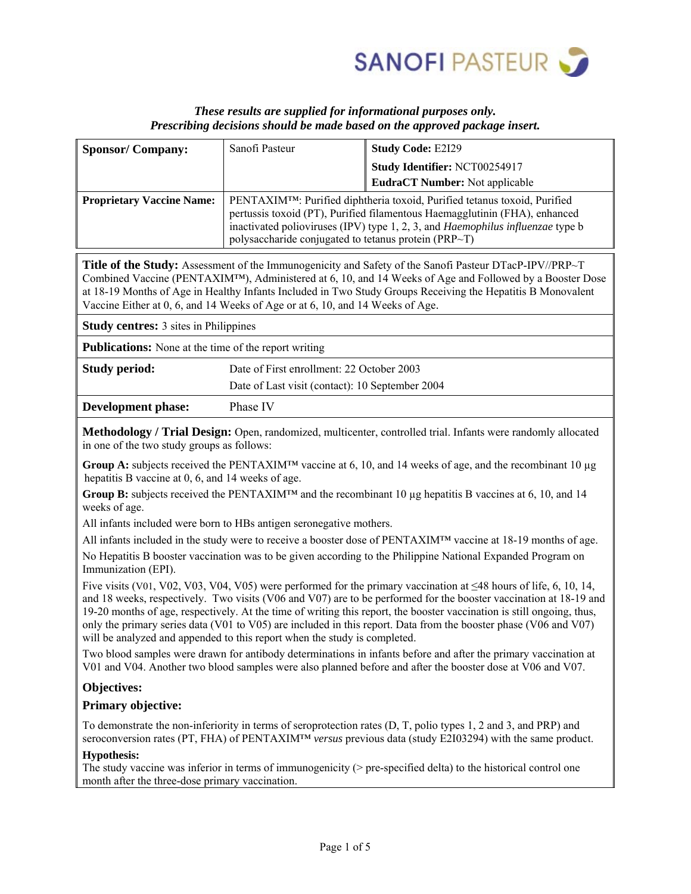

# *These results are supplied for informational purposes only. Prescribing decisions should be made based on the approved package insert.*

| <b>Sponsor/Company:</b>                                                                                                                                                                                                                                                                                                                                                                                                                                                                                                                                                 | Sanofi Pasteur                                                                                                                                                                                                                                         | <b>Study Code: E2I29</b>       |  |  |  |  |  |
|-------------------------------------------------------------------------------------------------------------------------------------------------------------------------------------------------------------------------------------------------------------------------------------------------------------------------------------------------------------------------------------------------------------------------------------------------------------------------------------------------------------------------------------------------------------------------|--------------------------------------------------------------------------------------------------------------------------------------------------------------------------------------------------------------------------------------------------------|--------------------------------|--|--|--|--|--|
|                                                                                                                                                                                                                                                                                                                                                                                                                                                                                                                                                                         |                                                                                                                                                                                                                                                        | Study Identifier: NCT00254917  |  |  |  |  |  |
|                                                                                                                                                                                                                                                                                                                                                                                                                                                                                                                                                                         |                                                                                                                                                                                                                                                        | EudraCT Number: Not applicable |  |  |  |  |  |
| <b>Proprietary Vaccine Name:</b>                                                                                                                                                                                                                                                                                                                                                                                                                                                                                                                                        | PENTAXIM <sup>TM</sup> : Purified diphtheria toxoid, Purified tetanus toxoid, Purified<br>pertussis toxoid (PT), Purified filamentous Haemagglutinin (FHA), enhanced<br>inactivated polioviruses (IPV) type 1, 2, 3, and Haemophilus influenzae type b |                                |  |  |  |  |  |
|                                                                                                                                                                                                                                                                                                                                                                                                                                                                                                                                                                         | polysaccharide conjugated to tetanus protein (PRP~T)                                                                                                                                                                                                   |                                |  |  |  |  |  |
| <b>Title of the Study:</b> Assessment of the Immunogenicity and Safety of the Sanofi Pasteur DTacP-IPV//PRP~T<br>Combined Vaccine (PENTAXIM™), Administered at 6, 10, and 14 Weeks of Age and Followed by a Booster Dose<br>at 18-19 Months of Age in Healthy Infants Included in Two Study Groups Receiving the Hepatitis B Monovalent<br>Vaccine Either at 0, 6, and 14 Weeks of Age or at 6, 10, and 14 Weeks of Age.                                                                                                                                                |                                                                                                                                                                                                                                                        |                                |  |  |  |  |  |
| <b>Study centres:</b> 3 sites in Philippines                                                                                                                                                                                                                                                                                                                                                                                                                                                                                                                            |                                                                                                                                                                                                                                                        |                                |  |  |  |  |  |
| <b>Publications:</b> None at the time of the report writing                                                                                                                                                                                                                                                                                                                                                                                                                                                                                                             |                                                                                                                                                                                                                                                        |                                |  |  |  |  |  |
| <b>Study period:</b>                                                                                                                                                                                                                                                                                                                                                                                                                                                                                                                                                    | Date of First enrollment: 22 October 2003                                                                                                                                                                                                              |                                |  |  |  |  |  |
|                                                                                                                                                                                                                                                                                                                                                                                                                                                                                                                                                                         | Date of Last visit (contact): 10 September 2004                                                                                                                                                                                                        |                                |  |  |  |  |  |
| <b>Development phase:</b>                                                                                                                                                                                                                                                                                                                                                                                                                                                                                                                                               | Phase IV                                                                                                                                                                                                                                               |                                |  |  |  |  |  |
| Methodology / Trial Design: Open, randomized, multicenter, controlled trial. Infants were randomly allocated<br>in one of the two study groups as follows:                                                                                                                                                                                                                                                                                                                                                                                                              |                                                                                                                                                                                                                                                        |                                |  |  |  |  |  |
| Group A: subjects received the PENTAXIM <sup>TM</sup> vaccine at 6, 10, and 14 weeks of age, and the recombinant 10 $\mu$ g<br>hepatitis B vaccine at 0, 6, and 14 weeks of age.                                                                                                                                                                                                                                                                                                                                                                                        |                                                                                                                                                                                                                                                        |                                |  |  |  |  |  |
| Group B: subjects received the PENTAXIM <sup>TM</sup> and the recombinant 10 µg hepatitis B vaccines at 6, 10, and 14<br>weeks of age.                                                                                                                                                                                                                                                                                                                                                                                                                                  |                                                                                                                                                                                                                                                        |                                |  |  |  |  |  |
| All infants included were born to HBs antigen seronegative mothers.                                                                                                                                                                                                                                                                                                                                                                                                                                                                                                     |                                                                                                                                                                                                                                                        |                                |  |  |  |  |  |
| All infants included in the study were to receive a booster dose of PENTAXIM <sup>TM</sup> vaccine at 18-19 months of age.                                                                                                                                                                                                                                                                                                                                                                                                                                              |                                                                                                                                                                                                                                                        |                                |  |  |  |  |  |
| No Hepatitis B booster vaccination was to be given according to the Philippine National Expanded Program on<br>Immunization (EPI).                                                                                                                                                                                                                                                                                                                                                                                                                                      |                                                                                                                                                                                                                                                        |                                |  |  |  |  |  |
| Five visits (V01, V02, V03, V04, V05) were performed for the primary vaccination at $\leq$ 48 hours of life, 6, 10, 14,<br>and 18 weeks, respectively. Two visits (V06 and V07) are to be performed for the booster vaccination at 18-19 and<br>19-20 months of age, respectively. At the time of writing this report, the booster vaccination is still ongoing, thus,<br>only the primary series data (V01 to V05) are included in this report. Data from the booster phase (V06 and V07)<br>will be analyzed and appended to this report when the study is completed. |                                                                                                                                                                                                                                                        |                                |  |  |  |  |  |
| Two blood samples were drawn for antibody determinations in infants before and after the primary vaccination at<br>V01 and V04. Another two blood samples were also planned before and after the booster dose at V06 and V07.                                                                                                                                                                                                                                                                                                                                           |                                                                                                                                                                                                                                                        |                                |  |  |  |  |  |
| <b>Objectives:</b>                                                                                                                                                                                                                                                                                                                                                                                                                                                                                                                                                      |                                                                                                                                                                                                                                                        |                                |  |  |  |  |  |
| <b>Primary objective:</b>                                                                                                                                                                                                                                                                                                                                                                                                                                                                                                                                               |                                                                                                                                                                                                                                                        |                                |  |  |  |  |  |
| To demonstrate the non-inferiority in terms of seroprotection rates (D, T, polio types 1, 2 and 3, and PRP) and<br>seroconversion rates (PT, FHA) of PENTAXIM™ versus previous data (study E2I03294) with the same product.                                                                                                                                                                                                                                                                                                                                             |                                                                                                                                                                                                                                                        |                                |  |  |  |  |  |
| <b>Hypothesis:</b><br>The study vaccine was inferior in terms of immunogenicity ( $>$ pre-specified delta) to the historical control one<br>month after the three-dose primary vaccination.                                                                                                                                                                                                                                                                                                                                                                             |                                                                                                                                                                                                                                                        |                                |  |  |  |  |  |
|                                                                                                                                                                                                                                                                                                                                                                                                                                                                                                                                                                         |                                                                                                                                                                                                                                                        |                                |  |  |  |  |  |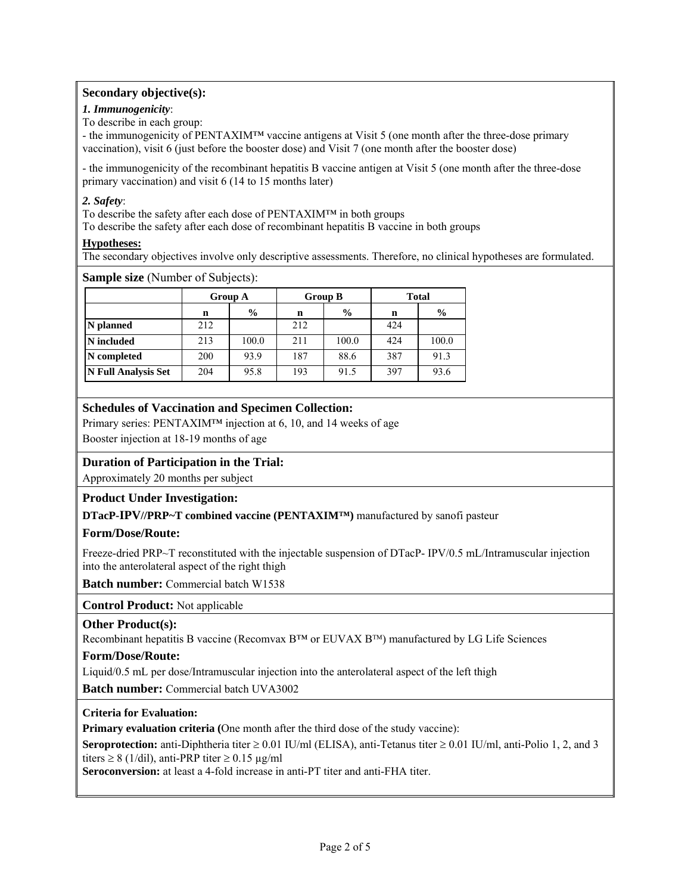# **Secondary objective(s):**

## *1. Immunogenicity*:

To describe in each group:

- the immunogenicity of PENTAXIM™ vaccine antigens at Visit 5 (one month after the three-dose primary vaccination), visit 6 (just before the booster dose) and Visit 7 (one month after the booster dose)

- the immunogenicity of the recombinant hepatitis B vaccine antigen at Visit 5 (one month after the three-dose primary vaccination) and visit 6 (14 to 15 months later)

## *2. Safety*:

To describe the safety after each dose of PENTAXIM™ in both groups

To describe the safety after each dose of recombinant hepatitis B vaccine in both groups

## **Hypotheses:**

The secondary objectives involve only descriptive assessments. Therefore, no clinical hypotheses are formulated.

## **Sample size** (Number of Subjects):

|                            | Group A |               | <b>Group B</b> |               | <b>Total</b> |       |
|----------------------------|---------|---------------|----------------|---------------|--------------|-------|
|                            | n       | $\frac{0}{0}$ | n              | $\frac{0}{0}$ | n            | $\%$  |
| N planned                  | 212     |               | 212            |               | 424          |       |
| N included                 | 213     | 100.0         | 211            | 100.0         | 424          | 100.0 |
| N completed                | 200     | 93.9          | 187            | 88.6          | 387          | 91.3  |
| <b>N Full Analysis Set</b> | 204     | 95.8          | 193            | 91.5          | 397          | 93.6  |

# **Schedules of Vaccination and Specimen Collection:**

Primary series: PENTAXIM™ injection at 6, 10, and 14 weeks of age

Booster injection at 18-19 months of age

# **Duration of Participation in the Trial:**

Approximately 20 months per subject

# **Product Under Investigation:**

**DTacP-IPV//PRP~T combined vaccine (PENTAXIM™)** manufactured by sanofi pasteur

# **Form/Dose/Route:**

Freeze-dried PRP~T reconstituted with the injectable suspension of DTacP- IPV/0.5 mL/Intramuscular injection into the anterolateral aspect of the right thigh

**Batch number:** Commercial batch W1538

**Control Product:** Not applicable

### **Other Product(s):**

Recombinant hepatitis B vaccine (Recomvax  $B^{TM}$  or EUVAX  $B^{TM}$ ) manufactured by LG Life Sciences

### **Form/Dose/Route:**

Liquid/0.5 mL per dose/Intramuscular injection into the anterolateral aspect of the left thigh

**Batch number:** Commercial batch UVA3002

### **Criteria for Evaluation:**

**Primary evaluation criteria (**One month after the third dose of the study vaccine):

**Seroprotection:** anti-Diphtheria titer  $\geq 0.01$  IU/ml (ELISA), anti-Tetanus titer  $\geq 0.01$  IU/ml, anti-Polio 1, 2, and 3 titers  $\geq 8$  (1/dil), anti-PRP titer  $\geq 0.15$  µg/ml

**Seroconversion:** at least a 4-fold increase in anti-PT titer and anti-FHA titer.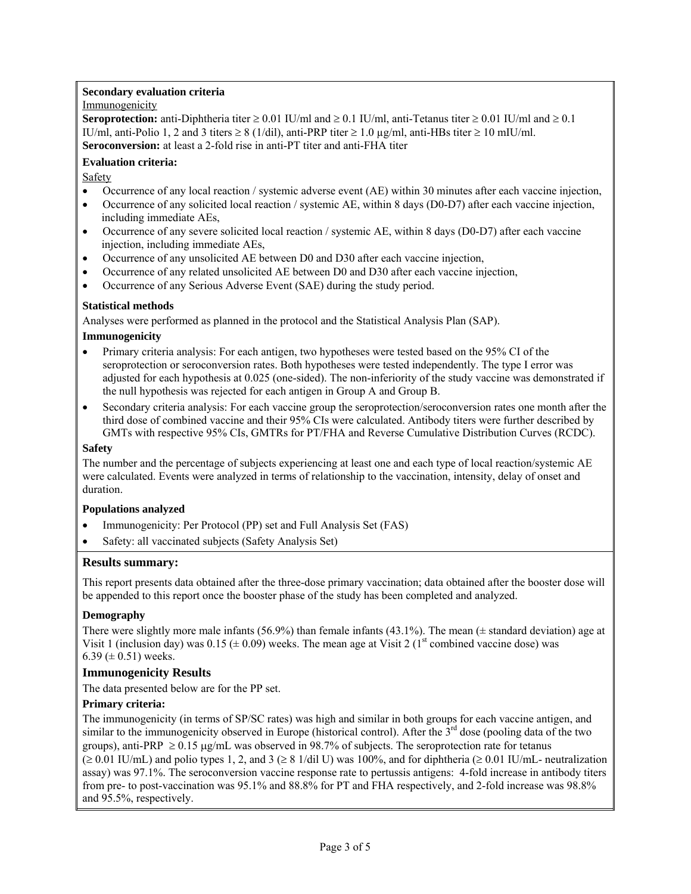### **Secondary evaluation criteria**

## Immunogenicity

**Seroprotection:** anti-Diphtheria titer  $\geq 0.01$  IU/ml and  $\geq 0.1$  IU/ml, anti-Tetanus titer  $\geq 0.01$  IU/ml and  $\geq 0.1$ IU/ml, anti-Polio 1, 2 and 3 titers  $\geq 8$  (1/dil), anti-PRP titer  $\geq 1.0$   $\mu$ g/ml, anti-HBs titer  $\geq 10$  mIU/ml. **Seroconversion:** at least a 2-fold rise in anti-PT titer and anti-FHA titer

## **Evaluation criteria:**

Safety

- Occurrence of any local reaction / systemic adverse event (AE) within 30 minutes after each vaccine injection,
- Occurrence of any solicited local reaction / systemic AE, within 8 days (D0-D7) after each vaccine injection, including immediate AEs,
- Occurrence of any severe solicited local reaction / systemic AE, within 8 days (D0-D7) after each vaccine injection, including immediate AEs,
- Occurrence of any unsolicited AE between D0 and D30 after each vaccine injection,
- Occurrence of any related unsolicited AE between D0 and D30 after each vaccine injection,
- Occurrence of any Serious Adverse Event (SAE) during the study period.

## **Statistical methods**

Analyses were performed as planned in the protocol and the Statistical Analysis Plan (SAP).

### **Immunogenicity**

- Primary criteria analysis: For each antigen, two hypotheses were tested based on the 95% CI of the seroprotection or seroconversion rates. Both hypotheses were tested independently. The type I error was adjusted for each hypothesis at 0.025 (one-sided). The non-inferiority of the study vaccine was demonstrated if the null hypothesis was rejected for each antigen in Group A and Group B.
- Secondary criteria analysis: For each vaccine group the seroprotection/seroconversion rates one month after the third dose of combined vaccine and their 95% CIs were calculated. Antibody titers were further described by GMTs with respective 95% CIs, GMTRs for PT/FHA and Reverse Cumulative Distribution Curves (RCDC).

### **Safety**

The number and the percentage of subjects experiencing at least one and each type of local reaction/systemic AE were calculated. Events were analyzed in terms of relationship to the vaccination, intensity, delay of onset and duration.

### **Populations analyzed**

- Immunogenicity: Per Protocol (PP) set and Full Analysis Set (FAS)
- Safety: all vaccinated subjects (Safety Analysis Set)

# **Results summary:**

This report presents data obtained after the three-dose primary vaccination; data obtained after the booster dose will be appended to this report once the booster phase of the study has been completed and analyzed.

# **Demography**

There were slightly more male infants (56.9%) than female infants (43.1%). The mean ( $\pm$  standard deviation) age at Visit 1 (inclusion day) was 0.15 ( $\pm$  0.09) weeks. The mean age at Visit 2 (1<sup>st</sup> combined vaccine dose) was 6.39 ( $\pm$  0.51) weeks.

# **Immunogenicity Results**

The data presented below are for the PP set.

# **Primary criteria:**

The immunogenicity (in terms of SP/SC rates) was high and similar in both groups for each vaccine antigen, and similar to the immunogenicity observed in Europe (historical control). After the  $3<sup>rd</sup>$  dose (pooling data of the two groups), anti-PRP  $\geq 0.15$   $\mu$ g/mL was observed in 98.7% of subjects. The seroprotection rate for tetanus  $( \geq 0.01 \text{ IU/mL})$  and polio types 1, 2, and 3 ( $\geq 8$  1/dil U) was 100%, and for diphtheria ( $\geq 0.01 \text{ IU/mL}$ - neutralization assay) was 97.1%. The seroconversion vaccine response rate to pertussis antigens: 4-fold increase in antibody titers from pre- to post-vaccination was 95.1% and 88.8% for PT and FHA respectively, and 2-fold increase was 98.8%

and 95.5%, respectively.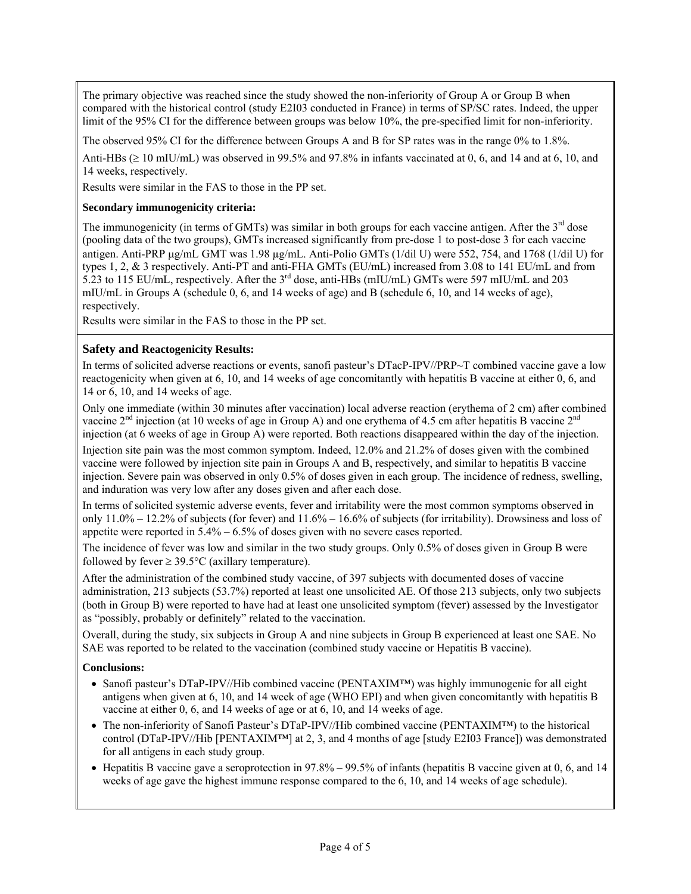The primary objective was reached since the study showed the non-inferiority of Group A or Group B when compared with the historical control (study E2I03 conducted in France) in terms of SP/SC rates. Indeed, the upper limit of the 95% CI for the difference between groups was below 10%, the pre-specified limit for non-inferiority.

The observed 95% CI for the difference between Groups A and B for SP rates was in the range 0% to 1.8%.

Anti-HBs  $(\geq 10 \text{ mHJ/mol})$  was observed in 99.5% and 97.8% in infants vaccinated at 0, 6, and 14 and at 6, 10, and 14 weeks, respectively.

Results were similar in the FAS to those in the PP set.

### **Secondary immunogenicity criteria:**

The immunogenicity (in terms of GMTs) was similar in both groups for each vaccine antigen. After the 3<sup>rd</sup> dose (pooling data of the two groups), GMTs increased significantly from pre-dose 1 to post-dose 3 for each vaccine antigen. Anti-PRP  $\mu$ g/mL GMT was 1.98  $\mu$ g/mL. Anti-Polio GMTs (1/dil U) were 552, 754, and 1768 (1/dil U) for types 1, 2, & 3 respectively. Anti-PT and anti-FHA GMTs (EU/mL) increased from 3.08 to 141 EU/mL and from 5.23 to 115 EU/mL, respectively. After the 3rd dose, anti-HBs (mIU/mL) GMTs were 597 mIU/mL and 203 mIU/mL in Groups A (schedule 0, 6, and 14 weeks of age) and B (schedule 6, 10, and 14 weeks of age), respectively.

Results were similar in the FAS to those in the PP set.

## **Safety and Reactogenicity Results:**

In terms of solicited adverse reactions or events, sanofi pasteur's DTacP-IPV//PRP~T combined vaccine gave a low reactogenicity when given at 6, 10, and 14 weeks of age concomitantly with hepatitis B vaccine at either 0, 6, and 14 or 6, 10, and 14 weeks of age.

Only one immediate (within 30 minutes after vaccination) local adverse reaction (erythema of 2 cm) after combined vaccine  $2<sup>nd</sup>$  injection (at 10 weeks of age in Group A) and one erythema of 4.5 cm after hepatitis B vaccine  $2<sup>nd</sup>$ injection (at 6 weeks of age in Group A) were reported. Both reactions disappeared within the day of the injection.

Injection site pain was the most common symptom. Indeed, 12.0% and 21.2% of doses given with the combined vaccine were followed by injection site pain in Groups A and B, respectively, and similar to hepatitis B vaccine injection. Severe pain was observed in only 0.5% of doses given in each group. The incidence of redness, swelling, and induration was very low after any doses given and after each dose.

In terms of solicited systemic adverse events, fever and irritability were the most common symptoms observed in only 11.0% – 12.2% of subjects (for fever) and 11.6% – 16.6% of subjects (for irritability). Drowsiness and loss of appetite were reported in 5.4% – 6.5% of doses given with no severe cases reported.

The incidence of fever was low and similar in the two study groups. Only 0.5% of doses given in Group B were followed by fever  $\geq 39.5^{\circ}$ C (axillary temperature).

After the administration of the combined study vaccine, of 397 subjects with documented doses of vaccine administration, 213 subjects (53.7%) reported at least one unsolicited AE. Of those 213 subjects, only two subjects (both in Group B) were reported to have had at least one unsolicited symptom (fever) assessed by the Investigator as "possibly, probably or definitely" related to the vaccination.

Overall, during the study, six subjects in Group A and nine subjects in Group B experienced at least one SAE. No SAE was reported to be related to the vaccination (combined study vaccine or Hepatitis B vaccine).

### **Conclusions:**

- Sanofi pasteur's DTaP-IPV//Hib combined vaccine (PENTAXIM™) was highly immunogenic for all eight antigens when given at 6, 10, and 14 week of age (WHO EPI) and when given concomitantly with hepatitis B vaccine at either 0, 6, and 14 weeks of age or at 6, 10, and 14 weeks of age.
- The non-inferiority of Sanofi Pasteur's DTaP-IPV//Hib combined vaccine (PENTAXIM™) to the historical control (DTaP-IPV//Hib [PENTAXIM™] at 2, 3, and 4 months of age [study E2I03 France]) was demonstrated for all antigens in each study group.
- $\bullet$  Hepatitis B vaccine gave a seroprotection in 97.8% 99.5% of infants (hepatitis B vaccine given at 0, 6, and 14 weeks of age gave the highest immune response compared to the 6, 10, and 14 weeks of age schedule).